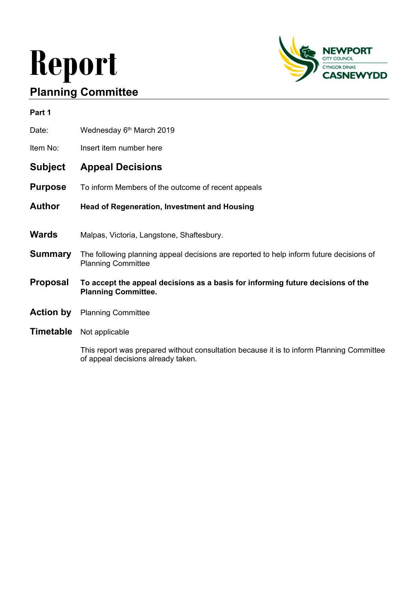# **Report Planning Committee**



| Part 1         |                                                                                                                      |
|----------------|----------------------------------------------------------------------------------------------------------------------|
| Date:          | Wednesday 6th March 2019                                                                                             |
| Item No:       | Insert item number here                                                                                              |
| Subject        | <b>Appeal Decisions</b>                                                                                              |
| <b>Purpose</b> | To inform Members of the outcome of recent appeals                                                                   |
| Author         | <b>Head of Regeneration, Investment and Housing</b>                                                                  |
|                |                                                                                                                      |
| Wards          | Malpas, Victoria, Langstone, Shaftesbury.                                                                            |
| Summary        | The following planning appeal decisions are reported to help inform future decisions of<br><b>Planning Committee</b> |
| Proposal       | To accept the appeal decisions as a basis for informing future decisions of the<br><b>Planning Committee.</b>        |
| Action by      | <b>Planning Committee</b>                                                                                            |

**Timetable** Not applicable

This report was prepared without consultation because it is to inform Planning Committee of appeal decisions already taken.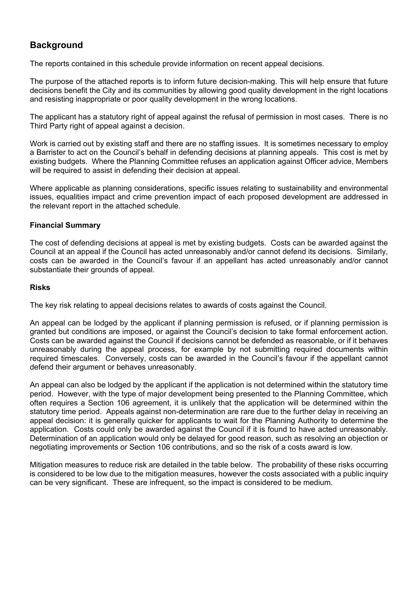# **Background**

The reports contained in this schedule provide information on recent appeal decisions.

The purpose of the attached reports is to inform future decision-making. This will help ensure that future decisions benefit the City and its communities by allowing good quality development in the right locations and resisting inappropriate or poor quality development in the wrong locations.

The applicant has a statutory right of appeal against the refusal of permission in most cases. There is no Third Party right of appeal against a decision.

Work is carried out by existing staff and there are no staffing issues. It is sometimes necessary to employ a Barrister to act on the Council's behalf in defending decisions at planning appeals. This cost is met by existing budgets. Where the Planning Committee refuses an application against Officer advice, Members will be required to assist in defending their decision at appeal.

Where applicable as planning considerations, specific issues relating to sustainability and environmental issues, equalities impact and crime prevention impact of each proposed development are addressed in the relevant report in the attached schedule.

## **Financial Summary**

The cost of defending decisions at appeal is met by existing budgets. Costs can be awarded against the Council at an appeal if the Council has acted unreasonably and/or cannot defend its decisions. Similarly, costs can be awarded in the Council's favour if an appellant has acted unreasonably and/or cannot substantiate their grounds of appeal.

# **Risks**

The key risk relating to appeal decisions relates to awards of costs against the Council.

An appeal can be lodged by the applicant if planning permission is refused, or if planning permission is granted but conditions are imposed, or against the Council's decision to take formal enforcement action. Costs can be awarded against the Council if decisions cannot be defended as reasonable, or if it behaves unreasonably during the appeal process, for example by not submitting required documents within required timescales. Conversely, costs can be awarded in the Council's favour if the appellant cannot defend their argument or behaves unreasonably.

An appeal can also be lodged by the applicant if the application is not determined within the statutory time period. However, with the type of major development being presented to the Planning Committee, which often requires a Section 106 agreement, it is unlikely that the application will be determined within the statutory time period. Appeals against non-determination are rare due to the further delay in receiving an appeal decision: it is generally quicker for applicants to wait for the Planning Authority to determine the application. Costs could only be awarded against the Council if it is found to have acted unreasonably. Determination of an application would only be delayed for good reason, such as resolving an objection or negotiating improvements or Section 106 contributions, and so the risk of a costs award is low.

Mitigation measures to reduce risk are detailed in the table below. The probability of these risks occurring is considered to be low due to the mitigation measures, however the costs associated with a public inquiry can be very significant. These are infrequent, so the impact is considered to be medium.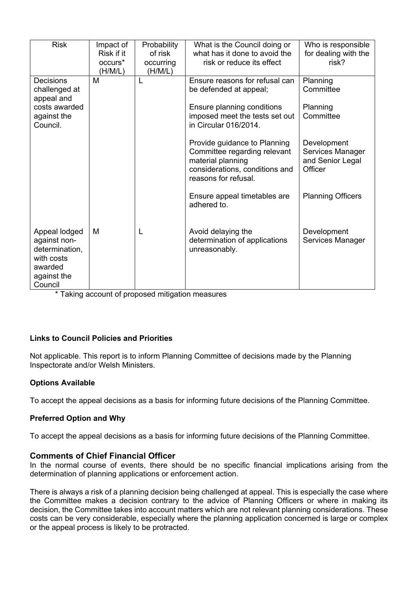| <b>Risk</b>      | Impact of           | Probability | What is the Council doing or   | Who is responsible       |
|------------------|---------------------|-------------|--------------------------------|--------------------------|
|                  | Risk if it          | of risk     | what has it done to avoid the  | for dealing with the     |
|                  | occurs <sup>*</sup> | occurring   | risk or reduce its effect      | risk?                    |
|                  | (H/M/L)             | (H/M/L)     |                                |                          |
| <b>Decisions</b> | M                   |             | Ensure reasons for refusal can | Planning                 |
| challenged at    |                     |             | be defended at appeal;         | Committee                |
| appeal and       |                     |             |                                |                          |
| costs awarded    |                     |             | Ensure planning conditions     | Planning                 |
| against the      |                     |             | imposed meet the tests set out | Committee                |
| Council.         |                     |             | in Circular 016/2014.          |                          |
|                  |                     |             |                                |                          |
|                  |                     |             | Provide guidance to Planning   | Development              |
|                  |                     |             | Committee regarding relevant   | Services Manager         |
|                  |                     |             | material planning              | and Senior Legal         |
|                  |                     |             | considerations, conditions and | Officer                  |
|                  |                     |             | reasons for refusal.           |                          |
|                  |                     |             |                                |                          |
|                  |                     |             | Ensure appeal timetables are   | <b>Planning Officers</b> |
|                  |                     |             | adhered to.                    |                          |
|                  |                     |             |                                |                          |
|                  |                     |             |                                |                          |
| Appeal lodged    | M                   |             | Avoid delaying the             | Development              |
| against non-     |                     |             | determination of applications  | Services Manager         |
| determination,   |                     |             | unreasonably.                  |                          |
| with costs       |                     |             |                                |                          |
| awarded          |                     |             |                                |                          |
|                  |                     |             |                                |                          |
| against the      |                     |             |                                |                          |
| Council          |                     |             |                                |                          |

\* Taking account of proposed mitigation measures

# **Links to Council Policies and Priorities**

Not applicable. This report is to inform Planning Committee of decisions made by the Planning Inspectorate and/or Welsh Ministers.

## **Options Available**

To accept the appeal decisions as a basis for informing future decisions of the Planning Committee.

## **Preferred Option and Why**

To accept the appeal decisions as a basis for informing future decisions of the Planning Committee.

## **Comments of Chief Financial Officer**

In the normal course of events, there should be no specific financial implications arising from the determination of planning applications or enforcement action.

There is always a risk of a planning decision being challenged at appeal. This is especially the case where the Committee makes a decision contrary to the advice of Planning Officers or where in making its decision, the Committee takes into account matters which are not relevant planning considerations. These costs can be very considerable, especially where the planning application concerned is large or complex or the appeal process is likely to be protracted.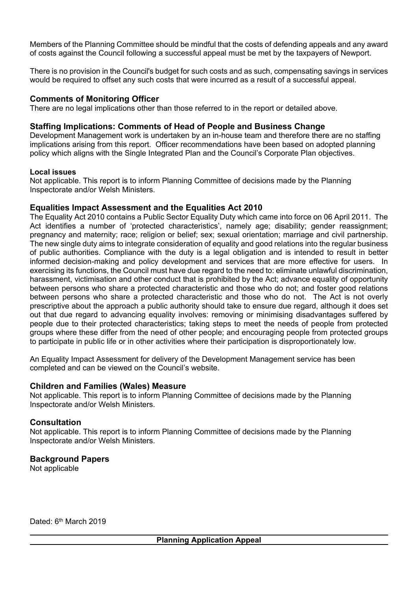Members of the Planning Committee should be mindful that the costs of defending appeals and any award of costs against the Council following a successful appeal must be met by the taxpayers of Newport.

There is no provision in the Council's budget for such costs and as such, compensating savings in services would be required to offset any such costs that were incurred as a result of a successful appeal.

# **Comments of Monitoring Officer**

There are no legal implications other than those referred to in the report or detailed above.

# **Staffing Implications: Comments of Head of People and Business Change**

Development Management work is undertaken by an in-house team and therefore there are no staffing implications arising from this report. Officer recommendations have been based on adopted planning policy which aligns with the Single Integrated Plan and the Council's Corporate Plan objectives.

## **Local issues**

Not applicable. This report is to inform Planning Committee of decisions made by the Planning Inspectorate and/or Welsh Ministers.

# **Equalities Impact Assessment and the Equalities Act 2010**

The Equality Act 2010 contains a Public Sector Equality Duty which came into force on 06 April 2011. The Act identifies a number of 'protected characteristics', namely age; disability; gender reassignment; pregnancy and maternity; race; religion or belief; sex; sexual orientation; marriage and civil partnership. The new single duty aims to integrate consideration of equality and good relations into the regular business of public authorities. Compliance with the duty is a legal obligation and is intended to result in better informed decision-making and policy development and services that are more effective for users. In exercising its functions, the Council must have due regard to the need to: eliminate unlawful discrimination, harassment, victimisation and other conduct that is prohibited by the Act; advance equality of opportunity between persons who share a protected characteristic and those who do not; and foster good relations between persons who share a protected characteristic and those who do not. The Act is not overly prescriptive about the approach a public authority should take to ensure due regard, although it does set out that due regard to advancing equality involves: removing or minimising disadvantages suffered by people due to their protected characteristics; taking steps to meet the needs of people from protected groups where these differ from the need of other people; and encouraging people from protected groups to participate in public life or in other activities where their participation is disproportionately low.

An Equality Impact Assessment for delivery of the Development Management service has been completed and can be viewed on the Council's website.

## **Children and Families (Wales) Measure**

Not applicable. This report is to inform Planning Committee of decisions made by the Planning Inspectorate and/or Welsh Ministers.

## **Consultation**

Not applicable. This report is to inform Planning Committee of decisions made by the Planning Inspectorate and/or Welsh Ministers.

# **Background Papers**

Not applicable

Dated: 6<sup>th</sup> March 2019